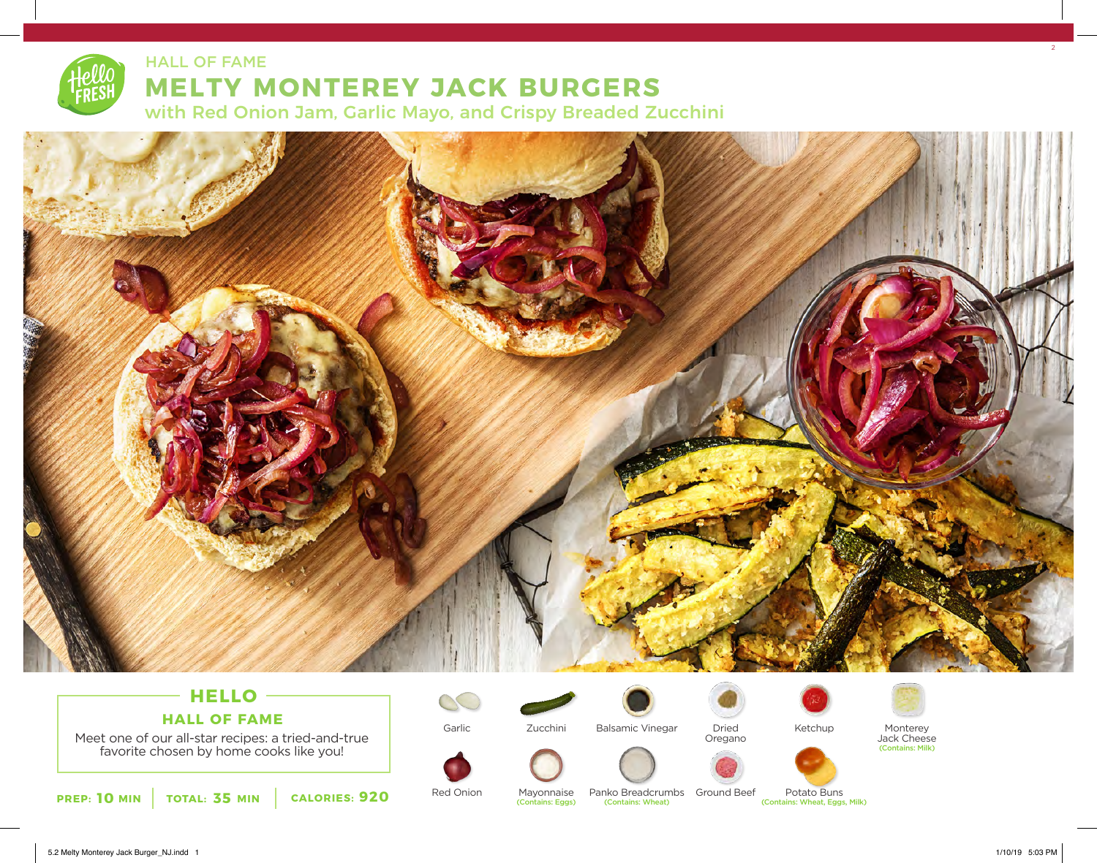

HALL OF FAME

## **MELTY MONTEREY JACK BURGERS**

with Red Onion Jam, Garlic Mayo, and Crispy Breaded Zucchini



## **HELLO HALL OF FAME**

Meet one of our all-star recipes: a tried-and-true favorite chosen by home cooks like you!

**PREP: 10 MIN TOTAL: 35 MIN CALORIES: 920** Red Onion Mayonnaise Panko-Breadcrumbs Ground-Beef Potato-Buns (Contains: Wheat, Eggs, Milk)

Garlic



Zucchini



Balsamic Vinegar





Ketchup



Jack Cheese (Contains: Milk)





Panko Breadcrumbs Ground Beef

Potato Buns<br>(Contains: Wheat, Eggs, Milk)



 $2<sup>2</sup>$